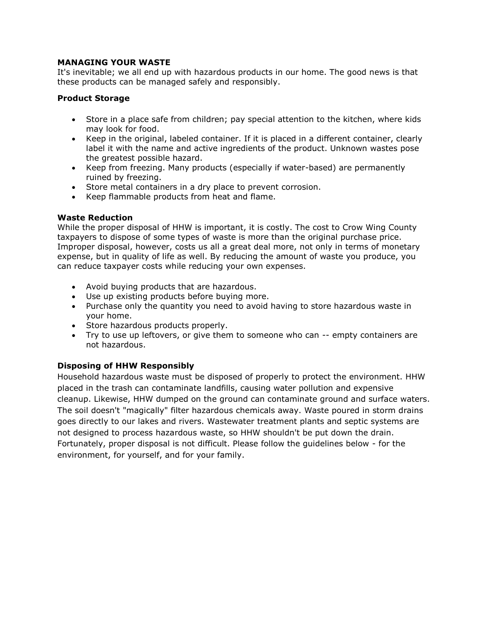## **MANAGING YOUR WASTE**

It's inevitable; we all end up with hazardous products in our home. The good news is that these products can be managed safely and responsibly.

## **Product Storage**

- Store in a place safe from children; pay special attention to the kitchen, where kids may look for food.
- Keep in the original, labeled container. If it is placed in a different container, clearly label it with the name and active ingredients of the product. Unknown wastes pose the greatest possible hazard.
- Keep from freezing. Many products (especially if water-based) are permanently ruined by freezing.
- Store metal containers in a dry place to prevent corrosion.
- Keep flammable products from heat and flame.

## **Waste Reduction**

While the proper disposal of HHW is important, it is costly. The cost to Crow Wing County taxpayers to dispose of some types of waste is more than the original purchase price. Improper disposal, however, costs us all a great deal more, not only in terms of monetary expense, but in quality of life as well. By reducing the amount of waste you produce, you can reduce taxpayer costs while reducing your own expenses.

- Avoid buying products that are hazardous.
- Use up existing products before buying more.
- Purchase only the quantity you need to avoid having to store hazardous waste in your home.
- Store hazardous products properly.
- Try to use up leftovers, or give them to someone who can -- empty containers are not hazardous.

## **Disposing of HHW Responsibly**

Household hazardous waste must be disposed of properly to protect the environment. HHW placed in the trash can contaminate landfills, causing water pollution and expensive cleanup. Likewise, HHW dumped on the ground can contaminate ground and surface waters. The soil doesn't "magically" filter hazardous chemicals away. Waste poured in storm drains goes directly to our lakes and rivers. Wastewater treatment plants and septic systems are not designed to process hazardous waste, so HHW shouldn't be put down the drain. Fortunately, proper disposal is not difficult. Please follow the guidelines below - for the environment, for yourself, and for your family.